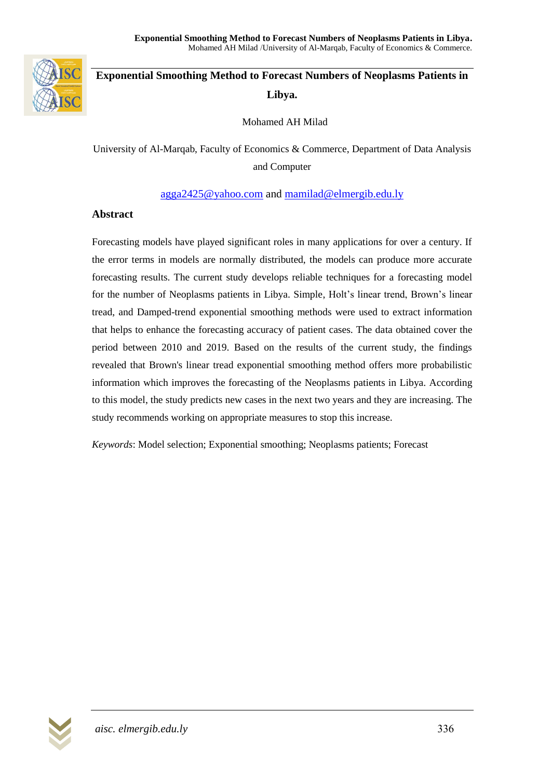

# **Exponential Smoothing Method to Forecast Numbers of Neoplasms Patients in Libya.**

Mohamed AH Milad

University of Al-Marqab, Faculty of Economics & Commerce, Department of Data Analysis and Computer

### [agga2425@yahoo.com](mailto:agga2425@yahoo.com) and [mamilad@elmergib.edu.ly](mailto:mamilad@elmergib.edu.ly)

### **Abstract**

Forecasting models have played significant roles in many applications for over a century. If the error terms in models are normally distributed, the models can produce more accurate forecasting results. The current study develops reliable techniques for a forecasting model for the number of Neoplasms patients in Libya. Simple, Holt's linear trend, Brown's linear tread, and Damped-trend exponential smoothing methods were used to extract information that helps to enhance the forecasting accuracy of patient cases. The data obtained cover the period between 2010 and 2019. Based on the results of the current study, the findings revealed that Brown's linear tread exponential smoothing method offers more probabilistic information which improves the forecasting of the Neoplasms patients in Libya. According to this model, the study predicts new cases in the next two years and they are increasing. The study recommends working on appropriate measures to stop this increase.

*Keywords*: Model selection; Exponential smoothing; Neoplasms patients; Forecast

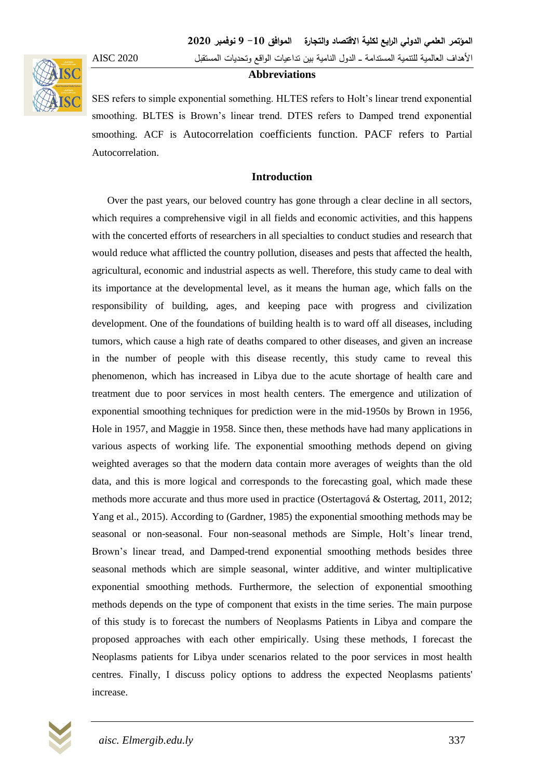### األهداف العالمية لمتنمية المستدامة ــــ الدول النامية بين تداعيات الواقع وتحديات المستقبل 2020 AISC

#### **Abbreviations**

SES refers to simple exponential something. HLTES refers to Holt's linear trend exponential smoothing. BLTES is Brown's linear trend. DTES refers to Damped trend exponential smoothing. ACF is Autocorrelation coefficients function. PACF refers to Partial Autocorrelation.

#### **Introduction**

 Over the past years, our beloved country has gone through a clear decline in all sectors, which requires a comprehensive vigil in all fields and economic activities, and this happens with the concerted efforts of researchers in all specialties to conduct studies and research that would reduce what afflicted the country pollution, diseases and pests that affected the health, agricultural, economic and industrial aspects as well. Therefore, this study came to deal with its importance at the developmental level, as it means the human age, which falls on the responsibility of building, ages, and keeping pace with progress and civilization development. One of the foundations of building health is to ward off all diseases, including tumors, which cause a high rate of deaths compared to other diseases, and given an increase in the number of people with this disease recently, this study came to reveal this phenomenon, which has increased in Libya due to the acute shortage of health care and treatment due to poor services in most health centers. The emergence and utilization of exponential smoothing techniques for prediction were in the mid-1950s by Brown in 1956, Hole in 1957, and Maggie in 1958. Since then, these methods have had many applications in various aspects of working life. The exponential smoothing methods depend on giving weighted averages so that the modern data contain more averages of weights than the old data, and this is more logical and corresponds to the forecasting goal, which made these methods more accurate and thus more used in practice (Ostertagová & Ostertag, 2011, 2012; Yang et al., 2015). According to (Gardner, 1985) the exponential smoothing methods may be seasonal or non-seasonal. Four non-seasonal methods are Simple, Holt's linear trend, Brown's linear tread, and Damped-trend exponential smoothing methods besides three seasonal methods which are simple seasonal, winter additive, and winter multiplicative exponential smoothing methods. Furthermore, the selection of exponential smoothing methods depends on the type of component that exists in the time series. The main purpose of this study is to forecast the numbers of Neoplasms Patients in Libya and compare the proposed approaches with each other empirically. Using these methods, I forecast the Neoplasms patients for Libya under scenarios related to the poor services in most health centres. Finally, I discuss policy options to address the expected Neoplasms patients' increase.

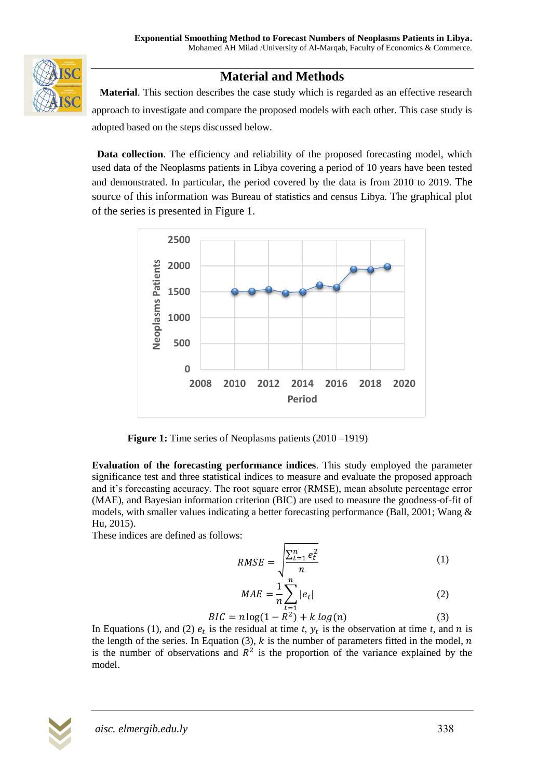

## **Material and Methods**

 **Material**. This section describes the case study which is regarded as an effective research approach to investigate and compare the proposed models with each other. This case study is adopted based on the steps discussed below.

**Data collection**. The efficiency and reliability of the proposed forecasting model, which used data of the Neoplasms patients in Libya covering a period of 10 years have been tested and demonstrated. In particular, the period covered by the data is from 2010 to 2019. The source of this information was Bureau of statistics and census Libya. The graphical plot of the series is presented in Figure 1.



**Figure 1:** Time series of Neoplasms patients (2010–1919)

**Evaluation of the forecasting performance indices**. This study employed the parameter significance test and three statistical indices to measure and evaluate the proposed approach and it's forecasting accuracy. The root square error (RMSE), mean absolute percentage error (MAE), and Bayesian information criterion (BIC) are used to measure the goodness-of-fit of models, with smaller values indicating a better forecasting performance (Ball, 2001; Wang & Hu, 2015).

These indices are defined as follows:

$$
RMSE = \sqrt{\frac{\sum_{t=1}^{n} e_t^2}{n}}
$$
 (1)

$$
MAE = \frac{1}{n} \sum_{t=1}^{n} |e_t|
$$
 (2)

$$
BIC = n \log(1 - R^2) + k \log(n) \tag{3}
$$

In Equations (1), and (2)  $e_t$  is the residual at time *t*,  $y_t$  is the observation at time *t*, and *n* is the length of the series. In Equation (3),  $k$  is the number of parameters fitted in the model,  $n$ is the number of observations and  $R^2$  is the proportion of the variance explained by the model.

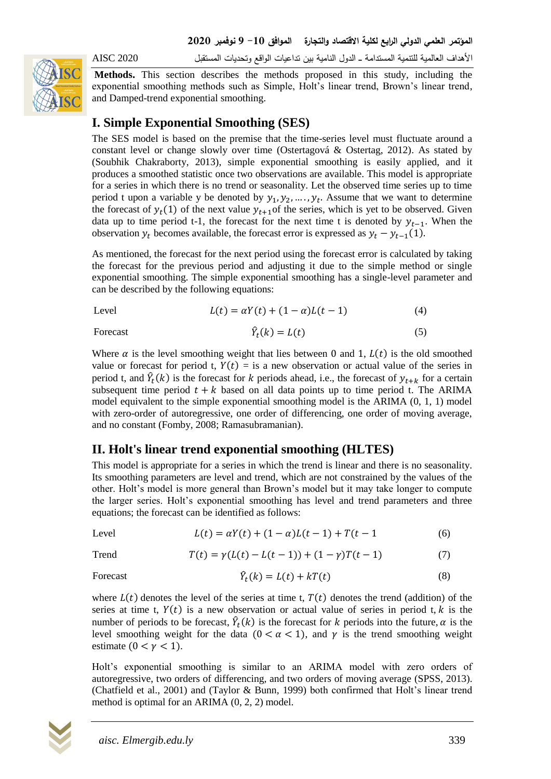

األهداف العالمية لمتنمية المستدامة ــــ الدول النامية بين تداعيات الواقع وتحديات المستقبل 2020 AISC

**Methods.** This section describes the methods proposed in this study, including the exponential smoothing methods such as Simple, Holt's linear trend, Brown's linear trend, and Damped-trend exponential smoothing.

## **I. Simple Exponential Smoothing (SES)**

The SES model is based on the premise that the time-series level must fluctuate around a constant level or change slowly over time (Ostertagová & Ostertag, 2012). As stated by (Soubhik Chakraborty, 2013), simple exponential smoothing is easily applied, and it produces a smoothed statistic once two observations are available. This model is appropriate for a series in which there is no trend or seasonality. Let the observed time series up to time period t upon a variable y be denoted by  $y_1, y_2, ..., y_t$ . Assume that we want to determine the forecast of  $y_t(1)$  of the next value  $y_{t+1}$  of the series, which is yet to be observed. Given data up to time period t-1, the forecast for the next time t is denoted by  $y_{t-1}$ . When the observation  $y_t$  becomes available, the forecast error is expressed as  $y_t - y_{t-1}(1)$ .

As mentioned, the forecast for the next period using the forecast error is calculated by taking the forecast for the previous period and adjusting it due to the simple method or single exponential smoothing. The simple exponential smoothing has a single-level parameter and can be described by the following equations:

$$
L(t) = \alpha Y(t) + (1 - \alpha)L(t - 1) \tag{4}
$$

**Forecast** 

$$
\hat{Y}_t(k) = L(t) \tag{5}
$$

Where  $\alpha$  is the level smoothing weight that lies between 0 and 1,  $L(t)$  is the old smoothed value or forecast for period t,  $Y(t) =$  is a new observation or actual value of the series in period t, and  $\hat{Y}_t(k)$  is the forecast for k periods ahead, i.e., the forecast of  $y_{t+k}$  for a certain subsequent time period  $t + k$  based on all data points up to time period t. The ARIMA model equivalent to the simple exponential smoothing model is the ARIMA (0, 1, 1) model with zero-order of autoregressive, one order of differencing, one order of moving average, and no constant (Fomby, 2008; Ramasubramanian).

## **II. Holt's linear trend exponential smoothing (HLTES)**

This model is appropriate for a series in which the trend is linear and there is no seasonality. Its smoothing parameters are level and trend, which are not constrained by the values of the other. Holt's model is more general than Brown's model but it may take longer to compute the larger series. Holt's exponential smoothing has level and trend parameters and three equations; the forecast can be identified as follows:

Level 
$$
L(t) = \alpha Y(t) + (1 - \alpha)L(t - 1) + T(t - 1)
$$
 (6)

Trend  $T(t) = \gamma (L(t) - L(t-1)) + (1 - \gamma)T(t-1)$  (7)

**Forecast** 

$$
\hat{Y}_t(k) = L(t) + kT(t) \tag{8}
$$

where  $L(t)$  denotes the level of the series at time t,  $T(t)$  denotes the trend (addition) of the series at time t,  $Y(t)$  is a new observation or actual value of series in period t, k is the number of periods to be forecast,  $\hat{Y}_t(k)$  is the forecast for k periods into the future,  $\alpha$  is the level smoothing weight for the data  $(0 < \alpha < 1)$ , and  $\gamma$  is the trend smoothing weight estimate ( $0 < \gamma < 1$ ).

Holt's exponential smoothing is similar to an ARIMA model with zero orders of autoregressive, two orders of differencing, and two orders of moving average (SPSS, 2013). (Chatfield et al., 2001) and (Taylor & Bunn, 1999) both confirmed that Holt's linear trend method is optimal for an ARIMA (0, 2, 2) model.

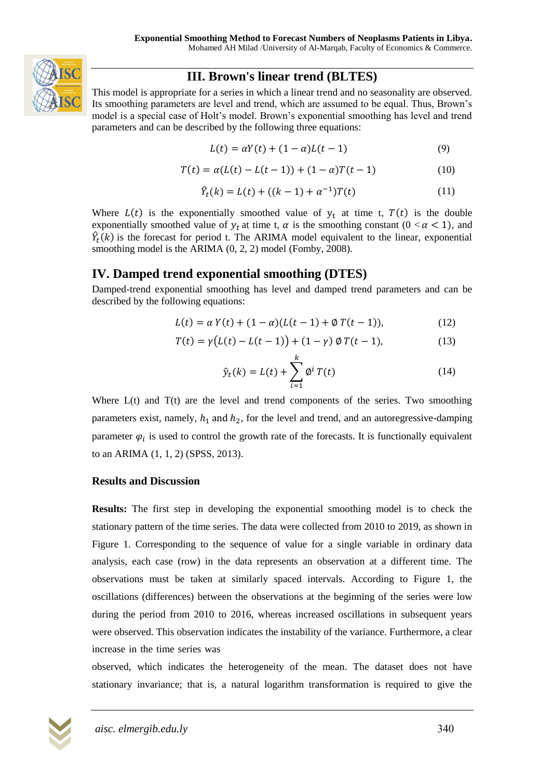

## **III. Brown's linear trend (BLTES)**

This model is appropriate for a series in which a linear trend and no seasonality are observed. Its smoothing parameters are level and trend, which are assumed to be equal. Thus, Brown's model is a special case of Holt's model. Brown's exponential smoothing has level and trend parameters and can be described by the following three equations:

$$
L(t) = \alpha Y(t) + (1 - \alpha)L(t - 1)
$$
\n(9)

$$
T(t) = \alpha (L(t) - L(t-1)) + (1 - \alpha)T(t-1)
$$
\n(10)

$$
\hat{Y}_t(k) = L(t) + ((k - 1) + \alpha^{-1})T(t)
$$
\n(11)

Where  $L(t)$  is the exponentially smoothed value of  $y_t$  at time t,  $T(t)$  is the double exponentially smoothed value of  $y_t$  at time t,  $\alpha$  is the smoothing constant (0 <  $\alpha$  < 1), and  $\hat{Y}_t(k)$  is the forecast for period t. The ARIMA model equivalent to the linear, exponential smoothing model is the ARIMA (0, 2, 2) model (Fomby, 2008).

## **IV. Damped trend exponential smoothing (DTES)**

Damped-trend exponential smoothing has level and damped trend parameters and can be described by the following equations:

$$
L(t) = \alpha Y(t) + (1 - \alpha)(L(t - 1) + \emptyset T(t - 1)),
$$
\n(12)

$$
T(t) = \gamma (L(t) - L(t-1)) + (1 - \gamma) \, \phi \, T(t-1), \tag{13}
$$

$$
\hat{y}_t(k) = L(t) + \sum_{i=1}^{k} \phi^i T(t)
$$
\n(14)

Where  $L(t)$  and  $T(t)$  are the level and trend components of the series. Two smoothing parameters exist, namely,  $h_1$  and  $h_2$ , for the level and trend, and an autoregressive-damping parameter  $\varphi_i$  is used to control the growth rate of the forecasts. It is functionally equivalent to an ARIMA (1, 1, 2) (SPSS, 2013).

### **Results and Discussion**

**Results:** The first step in developing the exponential smoothing model is to check the stationary pattern of the time series. The data were collected from 2010 to 2019, as shown in Figure 1. Corresponding to the sequence of value for a single variable in ordinary data analysis, each case (row) in the data represents an observation at a different time. The observations must be taken at similarly spaced intervals. According to Figure 1, the oscillations (differences) between the observations at the beginning of the series were low during the period from 2010 to 2016, whereas increased oscillations in subsequent years were observed. This observation indicates the instability of the variance. Furthermore, a clear increase in the time series was

observed, which indicates the heterogeneity of the mean. The dataset does not have stationary invariance; that is, a natural logarithm transformation is required to give the

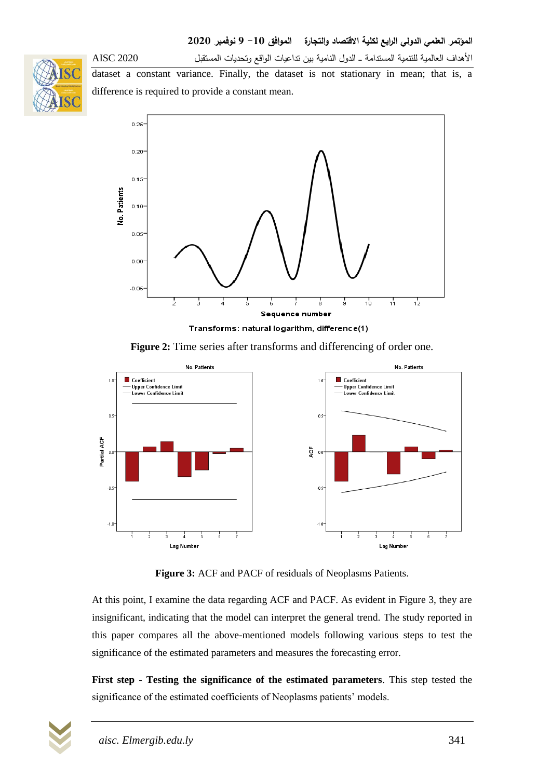



dataset a constant variance. Finally, the dataset is not stationary in mean; that is, a difference is required to provide a constant mean.



Transforms: natural logarithm, difference(1)

**Figure 2:** Time series after transforms and differencing of order one.



**Figure 3:** ACF and PACF of residuals of Neoplasms Patients.

At this point, I examine the data regarding ACF and PACF. As evident in Figure 3, they are insignificant, indicating that the model can interpret the general trend. The study reported in this paper compares all the above-mentioned models following various steps to test the significance of the estimated parameters and measures the forecasting error.

**First step** - **Testing the significance of the estimated parameters**. This step tested the significance of the estimated coefficients of Neoplasms patients' models.

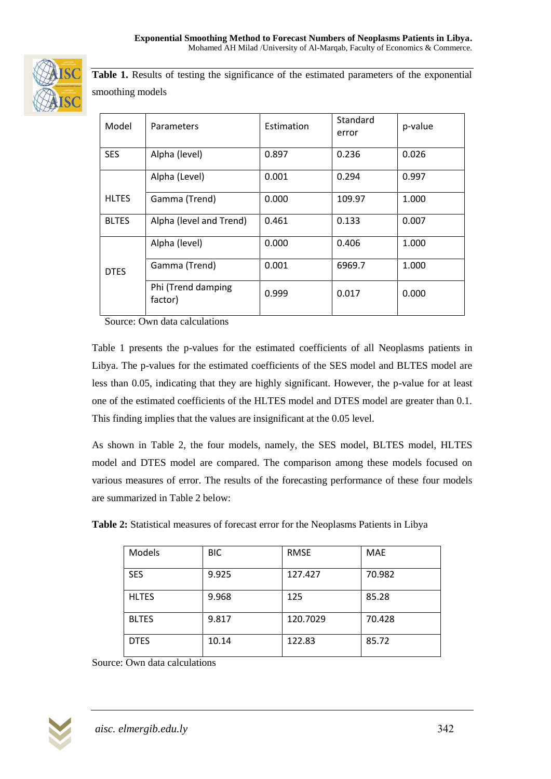

Table 1. Results of testing the significance of the estimated parameters of the exponential smoothing models

| Model        | Parameters                    | Estimation | Standard<br>error | p-value |
|--------------|-------------------------------|------------|-------------------|---------|
| <b>SES</b>   | Alpha (level)                 | 0.897      | 0.236             | 0.026   |
|              | Alpha (Level)                 | 0.001      | 0.294             | 0.997   |
| <b>HLTES</b> | Gamma (Trend)                 | 0.000      | 109.97            | 1.000   |
| <b>BLTES</b> | Alpha (level and Trend)       | 0.461      | 0.133             | 0.007   |
| <b>DTES</b>  | Alpha (level)                 | 0.000      | 0.406             | 1.000   |
|              | Gamma (Trend)                 | 0.001      | 6969.7            | 1.000   |
|              | Phi (Trend damping<br>factor) | 0.999      | 0.017             | 0.000   |

Source: Own data calculations

Table 1 presents the p-values for the estimated coefficients of all Neoplasms patients in Libya. The p-values for the estimated coefficients of the SES model and BLTES model are less than 0.05, indicating that they are highly significant. However, the p-value for at least one of the estimated coefficients of the HLTES model and DTES model are greater than 0.1. This finding implies that the values are insignificant at the 0.05 level.

As shown in Table 2, the four models, namely, the SES model, BLTES model, HLTES model and DTES model are compared. The comparison among these models focused on various measures of error. The results of the forecasting performance of these four models are summarized in Table 2 below:

| Models       | <b>BIC</b> | <b>RMSE</b> | <b>MAE</b> |
|--------------|------------|-------------|------------|
| <b>SES</b>   | 9.925      | 127.427     | 70.982     |
| <b>HLTES</b> | 9.968      | 125         | 85.28      |
| <b>BLTES</b> | 9.817      | 120.7029    | 70.428     |
| <b>DTES</b>  | 10.14      | 122.83      | 85.72      |

**Table 2:** Statistical measures of forecast error for the Neoplasms Patients in Libya

Source: Own data calculations

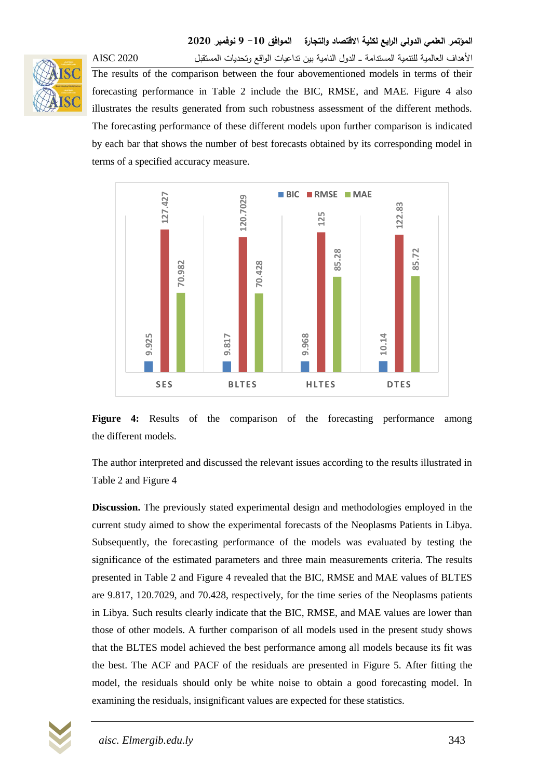

األهداف العالمية لمتنمية المستدامة ــــ الدول النامية بين تداعيات الواقع وتحديات المستقبل 2020 AISC The results of the comparison between the four abovementioned models in terms of their forecasting performance in Table 2 include the BIC, RMSE, and MAE. Figure 4 also illustrates the results generated from such robustness assessment of the different methods. The forecasting performance of these different models upon further comparison is indicated by each bar that shows the number of best forecasts obtained by its corresponding model in terms of a specified accuracy measure.



Figure 4: Results of the comparison of the forecasting performance among the different models.

The author interpreted and discussed the relevant issues according to the results illustrated in Table 2 and Figure 4

**Discussion.** The previously stated experimental design and methodologies employed in the current study aimed to show the experimental forecasts of the Neoplasms Patients in Libya. Subsequently, the forecasting performance of the models was evaluated by testing the significance of the estimated parameters and three main measurements criteria. The results presented in Table 2 and Figure 4 revealed that the BIC, RMSE and MAE values of BLTES are 9.817, 120.7029, and 70.428, respectively, for the time series of the Neoplasms patients in Libya. Such results clearly indicate that the BIC, RMSE, and MAE values are lower than those of other models. A further comparison of all models used in the present study shows that the BLTES model achieved the best performance among all models because its fit was the best. The ACF and PACF of the residuals are presented in Figure 5. After fitting the model, the residuals should only be white noise to obtain a good forecasting model. In

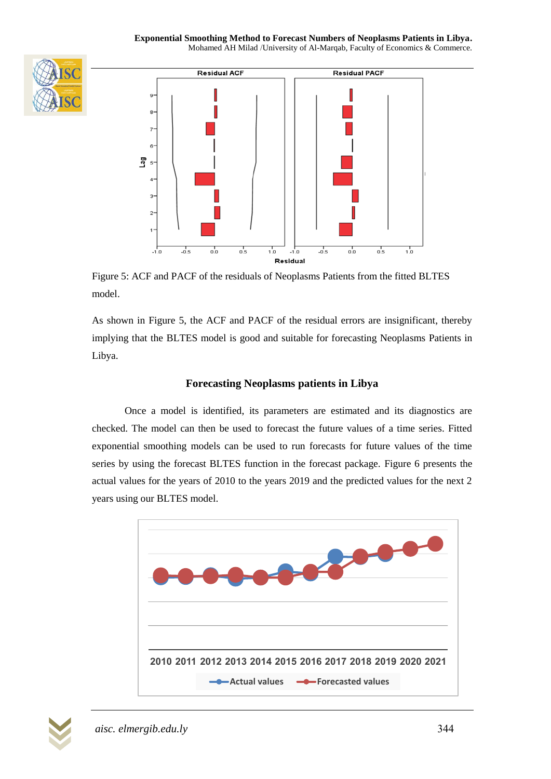



Figure 5: ACF and PACF of the residuals of Neoplasms Patients from the fitted BLTES model.

As shown in Figure 5, the ACF and PACF of the residual errors are insignificant, thereby implying that the BLTES model is good and suitable for forecasting Neoplasms Patients in Libya.

## **Forecasting Neoplasms patients in Libya**

Once a model is identified, its parameters are estimated and its diagnostics are checked. The model can then be used to forecast the future values of a time series. Fitted exponential smoothing models can be used to run forecasts for future values of the time series by using the forecast BLTES function in the forecast package. Figure 6 presents the actual values for the years of 2010 to the years 2019 and the predicted values for the next 2 years using our BLTES model.



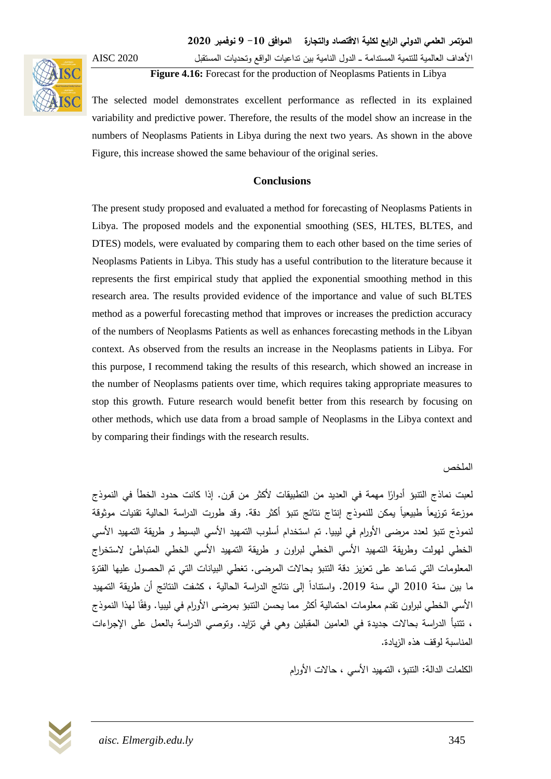

األهداف العالمية لمتنمية المستدامة ــــ الدول النامية بين تداعيات الواقع وتحديات المستقبل 2020 AISC

**Figure 4.16:** Forecast for the production of Neoplasms Patients in Libya

The selected model demonstrates excellent performance as reflected in its explained variability and predictive power. Therefore, the results of the model show an increase in the numbers of Neoplasms Patients in Libya during the next two years. As shown in the above Figure, this increase showed the same behaviour of the original series.

### **Conclusions**

The present study proposed and evaluated a method for forecasting of Neoplasms Patients in Libya. The proposed models and the exponential smoothing (SES, HLTES, BLTES, and DTES) models, were evaluated by comparing them to each other based on the time series of Neoplasms Patients in Libya. This study has a useful contribution to the literature because it represents the first empirical study that applied the exponential smoothing method in this research area. The results provided evidence of the importance and value of such BLTES method as a powerful forecasting method that improves or increases the prediction accuracy of the numbers of Neoplasms Patients as well as enhances forecasting methods in the Libyan context. As observed from the results an increase in the Neoplasms patients in Libya. For this purpose, I recommend taking the results of this research, which showed an increase in the number of Neoplasms patients over time, which requires taking appropriate measures to stop this growth. Future research would benefit better from this research by focusing on other methods, which use data from a broad sample of Neoplasms in the Libya context and by comparing their findings with the research results.

الملخص

لعبت نماذج النتبؤ أدوارًا مهمة في العديد من التطبيقات لأكثر من قرن. إذا كانت حدود الخطأ في النموذج موزعة توزيعاً طبيعياً يمكن لمنموذج إنتاج نتائج تنبؤ أكثر دقة. وقد طورت الدراسة الحالية تقنيات موثوقة لنموذج تتبؤ لعدد مرضى الأورام في ليبيا. تم استخدام أسلوب التمهيد الأسي البسيط و طريقة التمهيد الأسي الخطي لهولت وطريقة التمهيد الأسي الخطي لبراون و طريقة التمهيد الأسي الخطي المتباطئ لاستخراج المعمومات التي تساعد عمى تعزيز دقة التنبؤ بحاالت المرضى. تغطي البيانات التي تم الحصول عميها الفترة ما بين سنة 2010 الي سنة 2019. واستنادا إلى نتائج الدراسة الحالية ، كشفت النتائج أن طريقة التمهيد الأسي الخطي لبراون تقدم معلومات احتمالية أكثر مما يحسن النتبؤ بمرضى الأورام في ليبيا. وفقًا لمهذا النموذج ، نتتبأ الدراسة بحالات جديدة في العامين المقبلين وهي في نزايد. وتوصي الدراسة بالعمل على الإجراءات المناسبة لوقف هذه الزيادة.

الكممات الدالة: التنبؤ، التمهيد األسي ، حاالت األورام